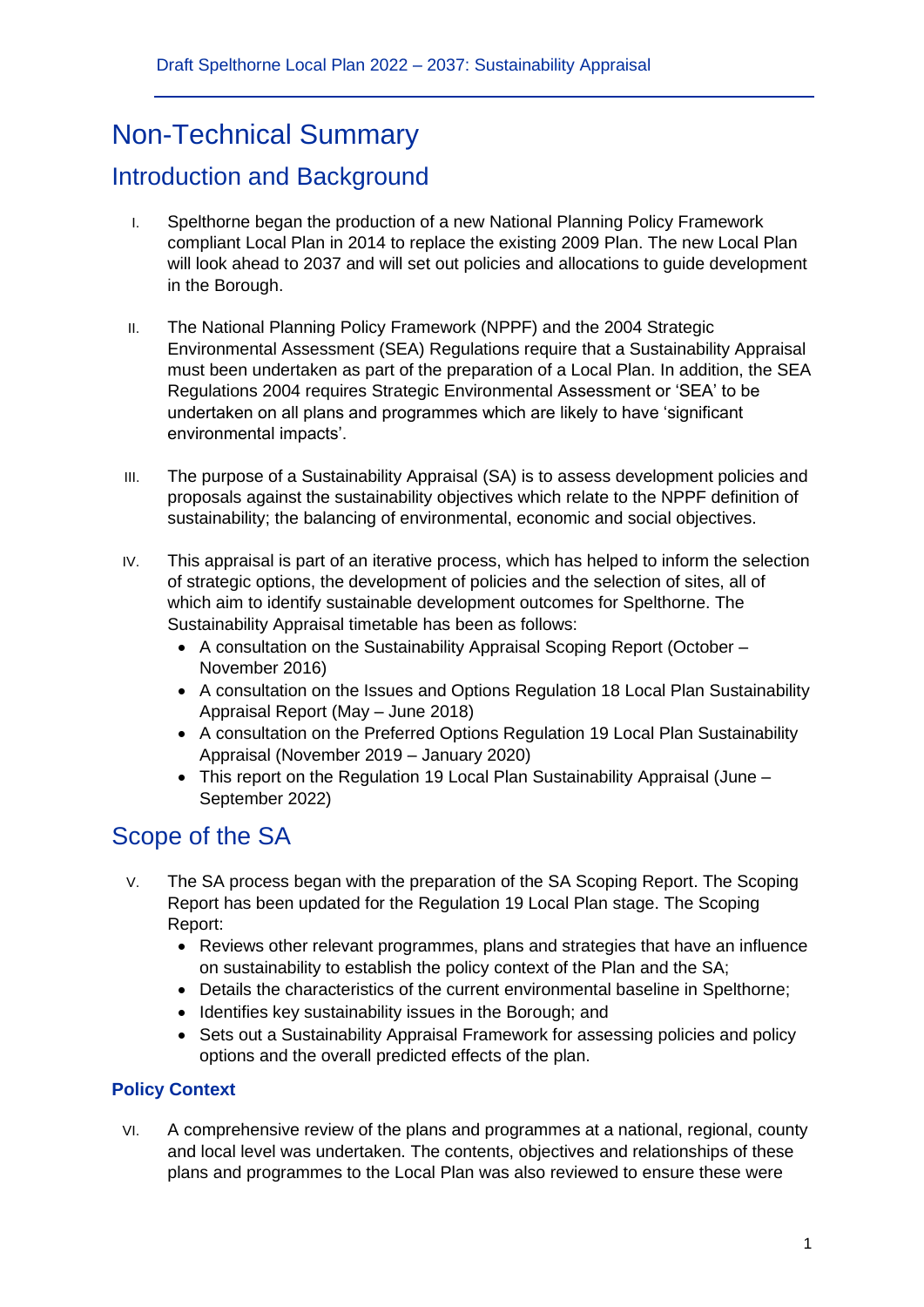# Non-Technical Summary

# Introduction and Background

- I. Spelthorne began the production of a new National Planning Policy Framework compliant Local Plan in 2014 to replace the existing 2009 Plan. The new Local Plan will look ahead to 2037 and will set out policies and allocations to guide development in the Borough.
- II. The National Planning Policy Framework (NPPF) and the 2004 Strategic Environmental Assessment (SEA) Regulations require that a Sustainability Appraisal must been undertaken as part of the preparation of a Local Plan. In addition, the SEA Regulations 2004 requires Strategic Environmental Assessment or 'SEA' to be undertaken on all plans and programmes which are likely to have 'significant environmental impacts'.
- III. The purpose of a Sustainability Appraisal (SA) is to assess development policies and proposals against the sustainability objectives which relate to the NPPF definition of sustainability; the balancing of environmental, economic and social objectives.
- IV. This appraisal is part of an iterative process, which has helped to inform the selection of strategic options, the development of policies and the selection of sites, all of which aim to identify sustainable development outcomes for Spelthorne. The Sustainability Appraisal timetable has been as follows:
	- A consultation on the Sustainability Appraisal Scoping Report (October November 2016)
	- A consultation on the Issues and Options Regulation 18 Local Plan Sustainability Appraisal Report (May – June 2018)
	- A consultation on the Preferred Options Regulation 19 Local Plan Sustainability Appraisal (November 2019 – January 2020)
	- This report on the Regulation 19 Local Plan Sustainability Appraisal (June September 2022)

# Scope of the SA

- V. The SA process began with the preparation of the SA Scoping Report. The Scoping Report has been updated for the Regulation 19 Local Plan stage. The Scoping Report:
	- Reviews other relevant programmes, plans and strategies that have an influence on sustainability to establish the policy context of the Plan and the SA;
	- Details the characteristics of the current environmental baseline in Spelthorne;
	- Identifies key sustainability issues in the Borough; and
	- Sets out a Sustainability Appraisal Framework for assessing policies and policy options and the overall predicted effects of the plan.

### **Policy Context**

VI. A comprehensive review of the plans and programmes at a national, regional, county and local level was undertaken. The contents, objectives and relationships of these plans and programmes to the Local Plan was also reviewed to ensure these were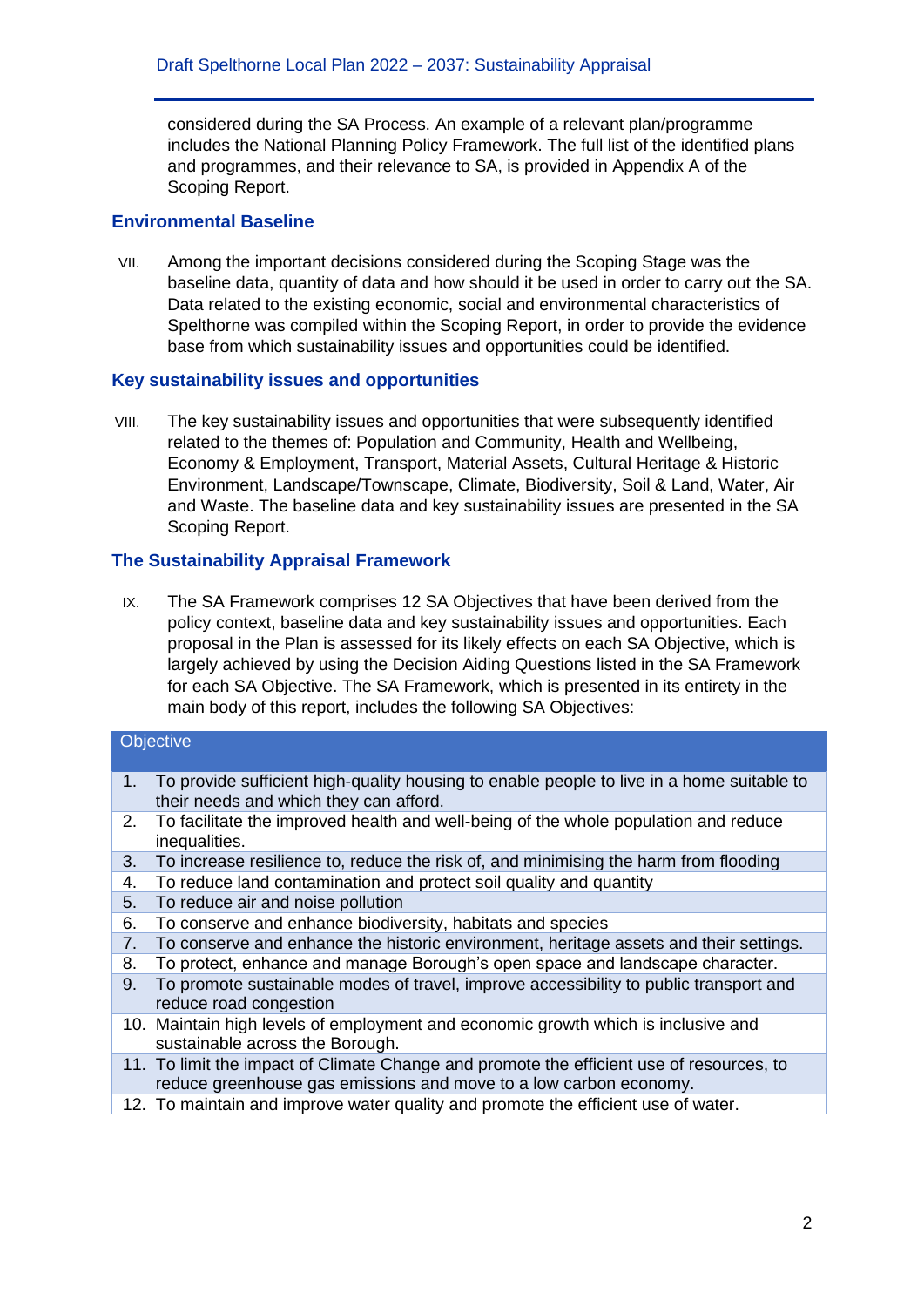considered during the SA Process. An example of a relevant plan/programme includes the National Planning Policy Framework. The full list of the identified plans and programmes, and their relevance to SA, is provided in Appendix A of the Scoping Report.

#### **Environmental Baseline**

VII. Among the important decisions considered during the Scoping Stage was the baseline data, quantity of data and how should it be used in order to carry out the SA. Data related to the existing economic, social and environmental characteristics of Spelthorne was compiled within the Scoping Report, in order to provide the evidence base from which sustainability issues and opportunities could be identified.

#### **Key sustainability issues and opportunities**

VIII. The key sustainability issues and opportunities that were subsequently identified related to the themes of: Population and Community, Health and Wellbeing, Economy & Employment, Transport, Material Assets, Cultural Heritage & Historic Environment, Landscape/Townscape, Climate, Biodiversity, Soil & Land, Water, Air and Waste. The baseline data and key sustainability issues are presented in the SA Scoping Report.

### **The Sustainability Appraisal Framework**

IX. The SA Framework comprises 12 SA Objectives that have been derived from the policy context, baseline data and key sustainability issues and opportunities. Each proposal in the Plan is assessed for its likely effects on each SA Objective, which is largely achieved by using the Decision Aiding Questions listed in the SA Framework for each SA Objective. The SA Framework, which is presented in its entirety in the main body of this report, includes the following SA Objectives:

### **Objective**

- 1. To provide sufficient high-quality housing to enable people to live in a home suitable to their needs and which they can afford.
- 2. To facilitate the improved health and well-being of the whole population and reduce inequalities.
- 3. To increase resilience to, reduce the risk of, and minimising the harm from flooding
- 4. To reduce land contamination and protect soil quality and quantity
- 5. To reduce air and noise pollution
- 6. To conserve and enhance biodiversity, habitats and species
- 7. To conserve and enhance the historic environment, heritage assets and their settings.
- 8. To protect, enhance and manage Borough's open space and landscape character.
- 9. To promote sustainable modes of travel, improve accessibility to public transport and reduce road congestion
- 10. Maintain high levels of employment and economic growth which is inclusive and sustainable across the Borough.
- 11. To limit the impact of Climate Change and promote the efficient use of resources, to reduce greenhouse gas emissions and move to a low carbon economy.
- 12. To maintain and improve water quality and promote the efficient use of water.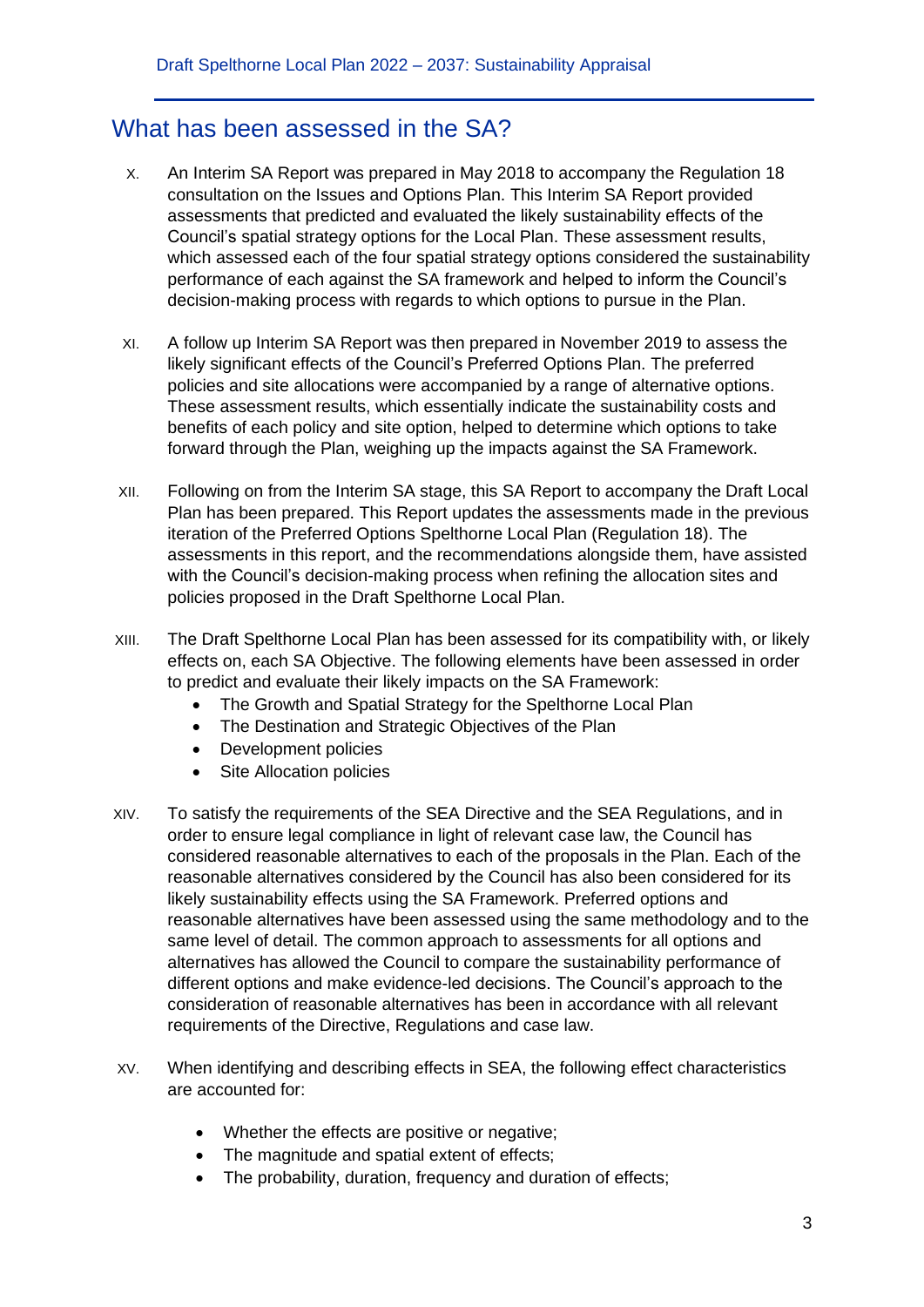### What has been assessed in the SA?

- X. An Interim SA Report was prepared in May 2018 to accompany the Regulation 18 consultation on the Issues and Options Plan. This Interim SA Report provided assessments that predicted and evaluated the likely sustainability effects of the Council's spatial strategy options for the Local Plan. These assessment results, which assessed each of the four spatial strategy options considered the sustainability performance of each against the SA framework and helped to inform the Council's decision-making process with regards to which options to pursue in the Plan.
- XI. A follow up Interim SA Report was then prepared in November 2019 to assess the likely significant effects of the Council's Preferred Options Plan. The preferred policies and site allocations were accompanied by a range of alternative options. These assessment results, which essentially indicate the sustainability costs and benefits of each policy and site option, helped to determine which options to take forward through the Plan, weighing up the impacts against the SA Framework.
- XII. Following on from the Interim SA stage, this SA Report to accompany the Draft Local Plan has been prepared. This Report updates the assessments made in the previous iteration of the Preferred Options Spelthorne Local Plan (Regulation 18). The assessments in this report, and the recommendations alongside them, have assisted with the Council's decision-making process when refining the allocation sites and policies proposed in the Draft Spelthorne Local Plan.
- XIII. The Draft Spelthorne Local Plan has been assessed for its compatibility with, or likely effects on, each SA Objective. The following elements have been assessed in order to predict and evaluate their likely impacts on the SA Framework:
	- The Growth and Spatial Strategy for the Spelthorne Local Plan
	- The Destination and Strategic Objectives of the Plan
	- Development policies
	- Site Allocation policies
- XIV. To satisfy the requirements of the SEA Directive and the SEA Regulations, and in order to ensure legal compliance in light of relevant case law, the Council has considered reasonable alternatives to each of the proposals in the Plan. Each of the reasonable alternatives considered by the Council has also been considered for its likely sustainability effects using the SA Framework. Preferred options and reasonable alternatives have been assessed using the same methodology and to the same level of detail. The common approach to assessments for all options and alternatives has allowed the Council to compare the sustainability performance of different options and make evidence-led decisions. The Council's approach to the consideration of reasonable alternatives has been in accordance with all relevant requirements of the Directive, Regulations and case law.
- XV. When identifying and describing effects in SEA, the following effect characteristics are accounted for:
	- Whether the effects are positive or negative:
	- The magnitude and spatial extent of effects;
	- The probability, duration, frequency and duration of effects;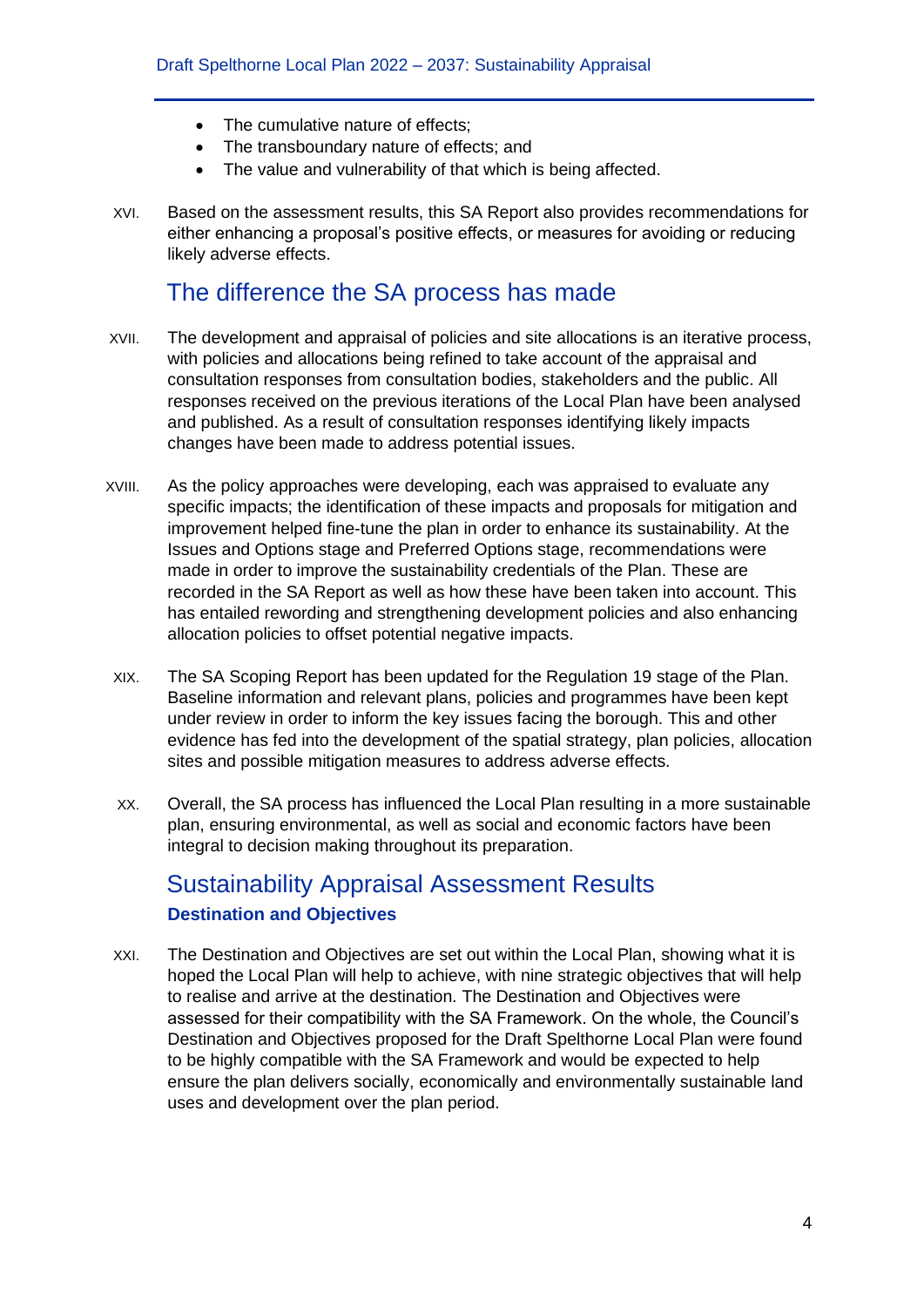- The cumulative nature of effects;
- The transboundary nature of effects; and
- The value and vulnerability of that which is being affected.
- XVI. Based on the assessment results, this SA Report also provides recommendations for either enhancing a proposal's positive effects, or measures for avoiding or reducing likely adverse effects.

### The difference the SA process has made

- XVII. The development and appraisal of policies and site allocations is an iterative process, with policies and allocations being refined to take account of the appraisal and consultation responses from consultation bodies, stakeholders and the public. All responses received on the previous iterations of the Local Plan have been analysed and published. As a result of consultation responses identifying likely impacts changes have been made to address potential issues.
- XVIII. As the policy approaches were developing, each was appraised to evaluate any specific impacts; the identification of these impacts and proposals for mitigation and improvement helped fine-tune the plan in order to enhance its sustainability. At the Issues and Options stage and Preferred Options stage, recommendations were made in order to improve the sustainability credentials of the Plan. These are recorded in the SA Report as well as how these have been taken into account. This has entailed rewording and strengthening development policies and also enhancing allocation policies to offset potential negative impacts.
- XIX. The SA Scoping Report has been updated for the Regulation 19 stage of the Plan. Baseline information and relevant plans, policies and programmes have been kept under review in order to inform the key issues facing the borough. This and other evidence has fed into the development of the spatial strategy, plan policies, allocation sites and possible mitigation measures to address adverse effects.
- XX. Overall, the SA process has influenced the Local Plan resulting in a more sustainable plan, ensuring environmental, as well as social and economic factors have been integral to decision making throughout its preparation.

## Sustainability Appraisal Assessment Results **Destination and Objectives**

XXI. The Destination and Objectives are set out within the Local Plan, showing what it is hoped the Local Plan will help to achieve, with nine strategic objectives that will help to realise and arrive at the destination. The Destination and Objectives were assessed for their compatibility with the SA Framework. On the whole, the Council's Destination and Objectives proposed for the Draft Spelthorne Local Plan were found to be highly compatible with the SA Framework and would be expected to help ensure the plan delivers socially, economically and environmentally sustainable land uses and development over the plan period.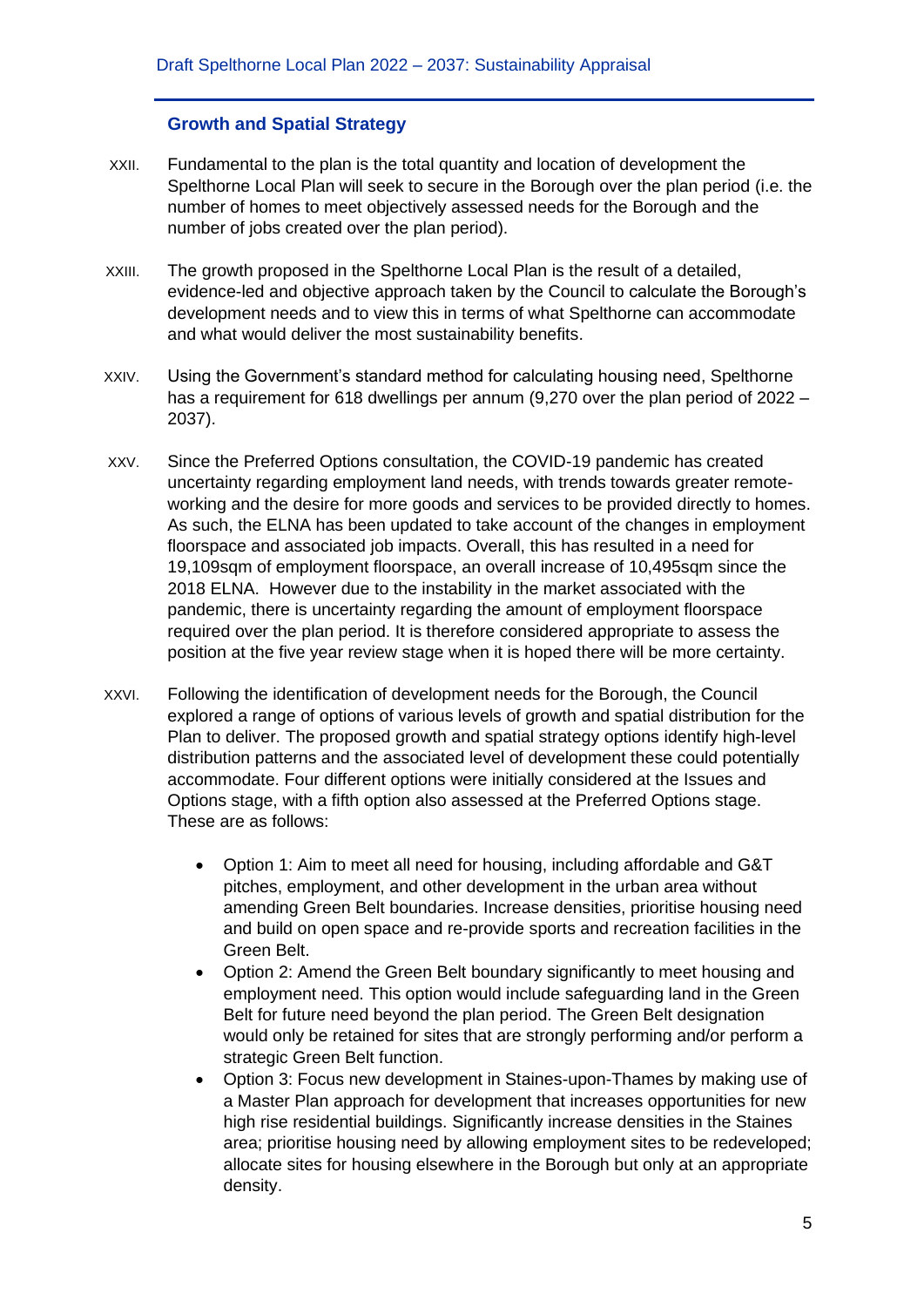### **Growth and Spatial Strategy**

- XXII. Fundamental to the plan is the total quantity and location of development the Spelthorne Local Plan will seek to secure in the Borough over the plan period (i.e. the number of homes to meet objectively assessed needs for the Borough and the number of jobs created over the plan period).
- XXIII. The growth proposed in the Spelthorne Local Plan is the result of a detailed, evidence-led and objective approach taken by the Council to calculate the Borough's development needs and to view this in terms of what Spelthorne can accommodate and what would deliver the most sustainability benefits.
- XXIV. Using the Government's standard method for calculating housing need, Spelthorne has a requirement for 618 dwellings per annum (9,270 over the plan period of 2022 – 2037).
- XXV. Since the Preferred Options consultation, the COVID-19 pandemic has created uncertainty regarding employment land needs, with trends towards greater remoteworking and the desire for more goods and services to be provided directly to homes. As such, the ELNA has been updated to take account of the changes in employment floorspace and associated job impacts. Overall, this has resulted in a need for 19,109sqm of employment floorspace, an overall increase of 10,495sqm since the 2018 ELNA. However due to the instability in the market associated with the pandemic, there is uncertainty regarding the amount of employment floorspace required over the plan period. It is therefore considered appropriate to assess the position at the five year review stage when it is hoped there will be more certainty.
- XXVI. Following the identification of development needs for the Borough, the Council explored a range of options of various levels of growth and spatial distribution for the Plan to deliver. The proposed growth and spatial strategy options identify high-level distribution patterns and the associated level of development these could potentially accommodate. Four different options were initially considered at the Issues and Options stage, with a fifth option also assessed at the Preferred Options stage. These are as follows:
	- Option 1: Aim to meet all need for housing, including affordable and G&T pitches, employment, and other development in the urban area without amending Green Belt boundaries. Increase densities, prioritise housing need and build on open space and re-provide sports and recreation facilities in the Green Belt.
	- Option 2: Amend the Green Belt boundary significantly to meet housing and employment need. This option would include safeguarding land in the Green Belt for future need beyond the plan period. The Green Belt designation would only be retained for sites that are strongly performing and/or perform a strategic Green Belt function.
	- Option 3: Focus new development in Staines-upon-Thames by making use of a Master Plan approach for development that increases opportunities for new high rise residential buildings. Significantly increase densities in the Staines area; prioritise housing need by allowing employment sites to be redeveloped; allocate sites for housing elsewhere in the Borough but only at an appropriate density.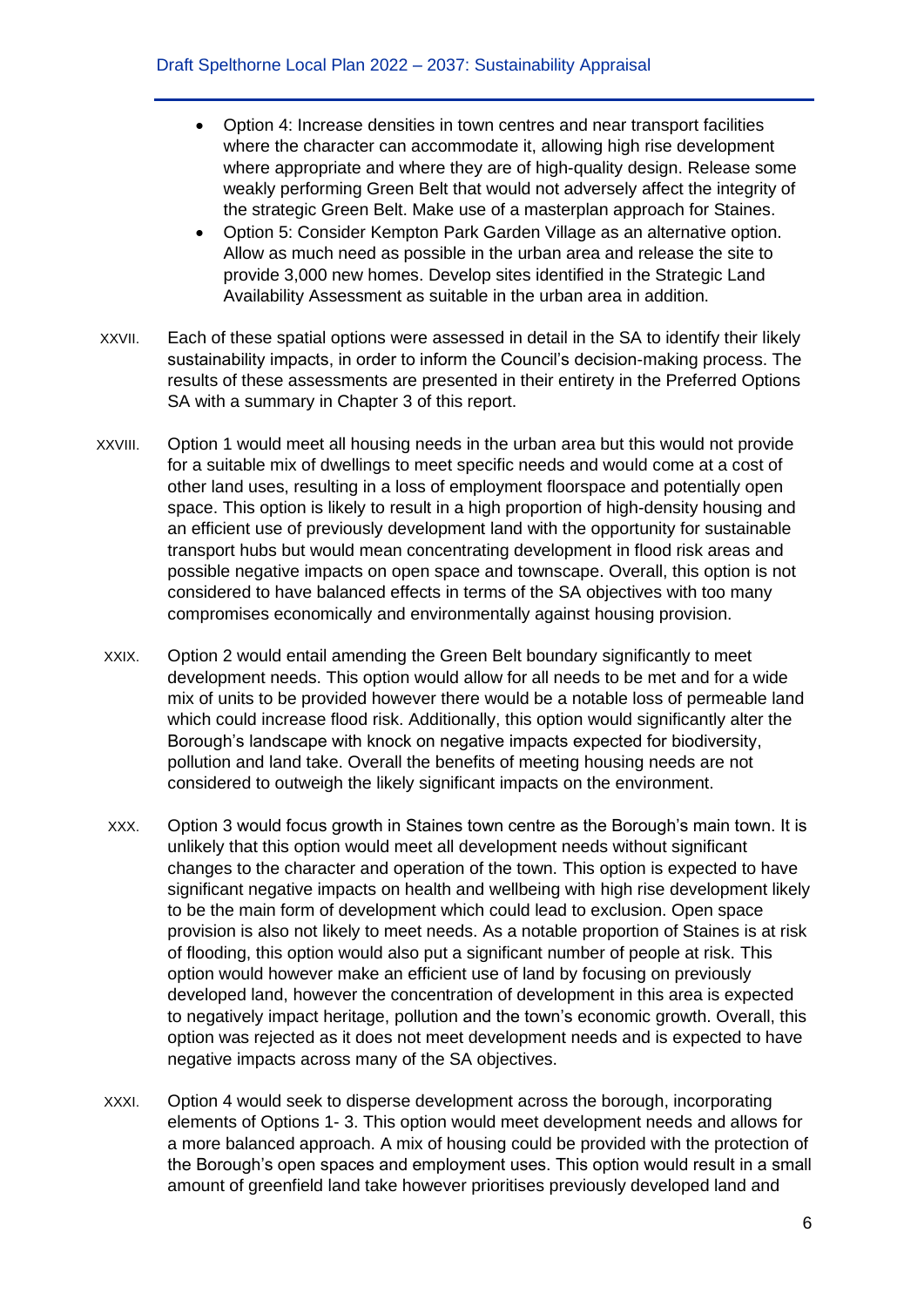- Option 4: Increase densities in town centres and near transport facilities where the character can accommodate it, allowing high rise development where appropriate and where they are of high-quality design. Release some weakly performing Green Belt that would not adversely affect the integrity of the strategic Green Belt. Make use of a masterplan approach for Staines.
- Option 5: Consider Kempton Park Garden Village as an alternative option. Allow as much need as possible in the urban area and release the site to provide 3,000 new homes. Develop sites identified in the Strategic Land Availability Assessment as suitable in the urban area in addition.
- XXVII. Each of these spatial options were assessed in detail in the SA to identify their likely sustainability impacts, in order to inform the Council's decision-making process. The results of these assessments are presented in their entirety in the Preferred Options SA with a summary in Chapter 3 of this report.
- XXVIII. Option 1 would meet all housing needs in the urban area but this would not provide for a suitable mix of dwellings to meet specific needs and would come at a cost of other land uses, resulting in a loss of employment floorspace and potentially open space. This option is likely to result in a high proportion of high-density housing and an efficient use of previously development land with the opportunity for sustainable transport hubs but would mean concentrating development in flood risk areas and possible negative impacts on open space and townscape. Overall, this option is not considered to have balanced effects in terms of the SA objectives with too many compromises economically and environmentally against housing provision.
- XXIX. Option 2 would entail amending the Green Belt boundary significantly to meet development needs. This option would allow for all needs to be met and for a wide mix of units to be provided however there would be a notable loss of permeable land which could increase flood risk. Additionally, this option would significantly alter the Borough's landscape with knock on negative impacts expected for biodiversity, pollution and land take. Overall the benefits of meeting housing needs are not considered to outweigh the likely significant impacts on the environment.
- XXX. Option 3 would focus growth in Staines town centre as the Borough's main town. It is unlikely that this option would meet all development needs without significant changes to the character and operation of the town. This option is expected to have significant negative impacts on health and wellbeing with high rise development likely to be the main form of development which could lead to exclusion. Open space provision is also not likely to meet needs. As a notable proportion of Staines is at risk of flooding, this option would also put a significant number of people at risk. This option would however make an efficient use of land by focusing on previously developed land, however the concentration of development in this area is expected to negatively impact heritage, pollution and the town's economic growth. Overall, this option was rejected as it does not meet development needs and is expected to have negative impacts across many of the SA objectives.
- XXXI. Option 4 would seek to disperse development across the borough, incorporating elements of Options 1- 3. This option would meet development needs and allows for a more balanced approach. A mix of housing could be provided with the protection of the Borough's open spaces and employment uses. This option would result in a small amount of greenfield land take however prioritises previously developed land and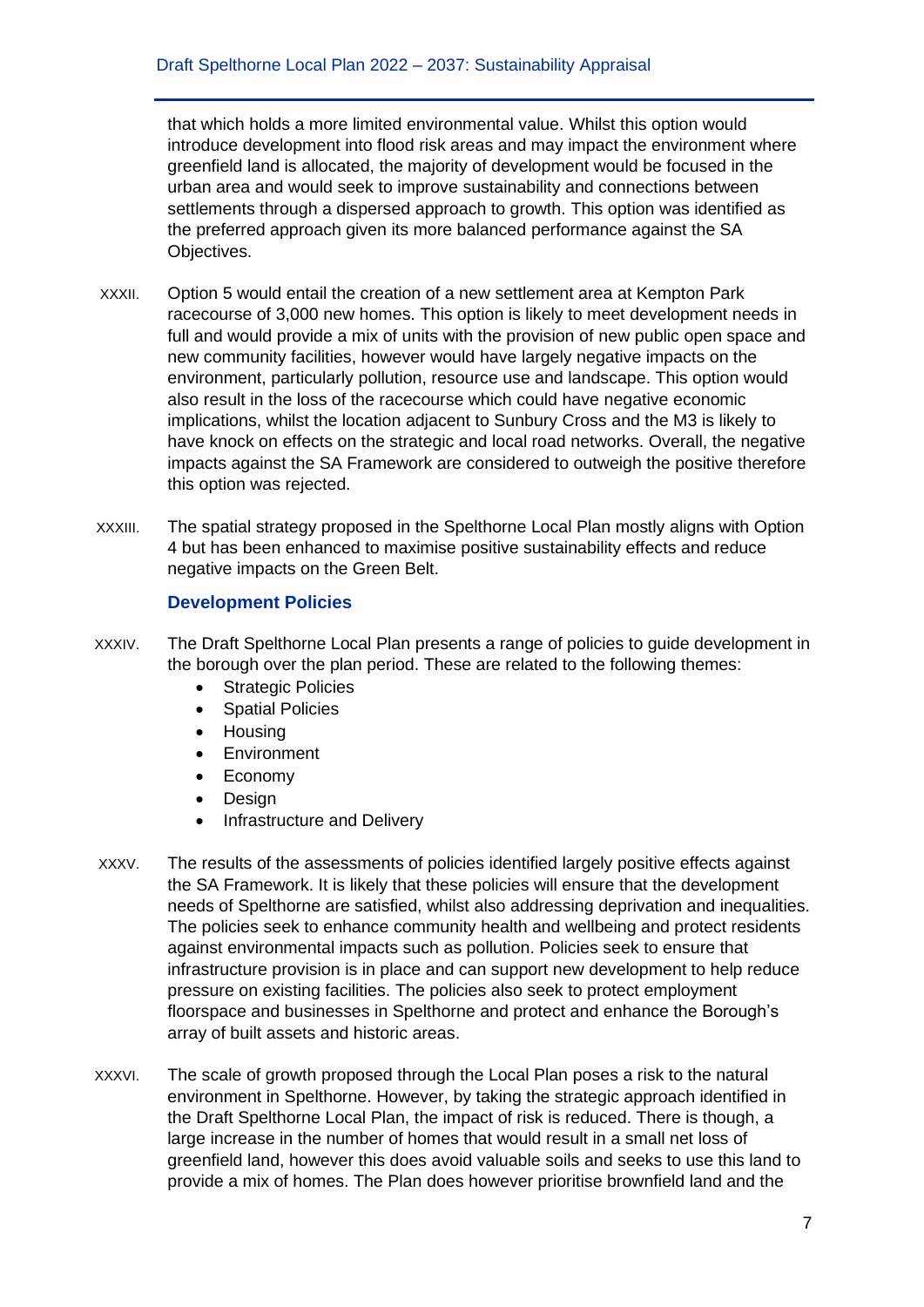that which holds a more limited environmental value. Whilst this option would introduce development into flood risk areas and may impact the environment where greenfield land is allocated, the majority of development would be focused in the urban area and would seek to improve sustainability and connections between settlements through a dispersed approach to growth. This option was identified as the preferred approach given its more balanced performance against the SA Objectives.

- XXXII. Option 5 would entail the creation of a new settlement area at Kempton Park racecourse of 3,000 new homes. This option is likely to meet development needs in full and would provide a mix of units with the provision of new public open space and new community facilities, however would have largely negative impacts on the environment, particularly pollution, resource use and landscape. This option would also result in the loss of the racecourse which could have negative economic implications, whilst the location adjacent to Sunbury Cross and the M3 is likely to have knock on effects on the strategic and local road networks. Overall, the negative impacts against the SA Framework are considered to outweigh the positive therefore this option was rejected.
- XXXIII. The spatial strategy proposed in the Spelthorne Local Plan mostly aligns with Option 4 but has been enhanced to maximise positive sustainability effects and reduce negative impacts on the Green Belt.

### **Development Policies**

- XXXIV. The Draft Spelthorne Local Plan presents a range of policies to guide development in the borough over the plan period. These are related to the following themes:
	- Strategic Policies
	- Spatial Policies
	- Housing
	- Environment
	- Economy
	- Design
	- Infrastructure and Delivery
- XXXV. The results of the assessments of policies identified largely positive effects against the SA Framework. It is likely that these policies will ensure that the development needs of Spelthorne are satisfied, whilst also addressing deprivation and inequalities. The policies seek to enhance community health and wellbeing and protect residents against environmental impacts such as pollution. Policies seek to ensure that infrastructure provision is in place and can support new development to help reduce pressure on existing facilities. The policies also seek to protect employment floorspace and businesses in Spelthorne and protect and enhance the Borough's array of built assets and historic areas.
- XXXVI. The scale of growth proposed through the Local Plan poses a risk to the natural environment in Spelthorne. However, by taking the strategic approach identified in the Draft Spelthorne Local Plan, the impact of risk is reduced. There is though, a large increase in the number of homes that would result in a small net loss of greenfield land, however this does avoid valuable soils and seeks to use this land to provide a mix of homes. The Plan does however prioritise brownfield land and the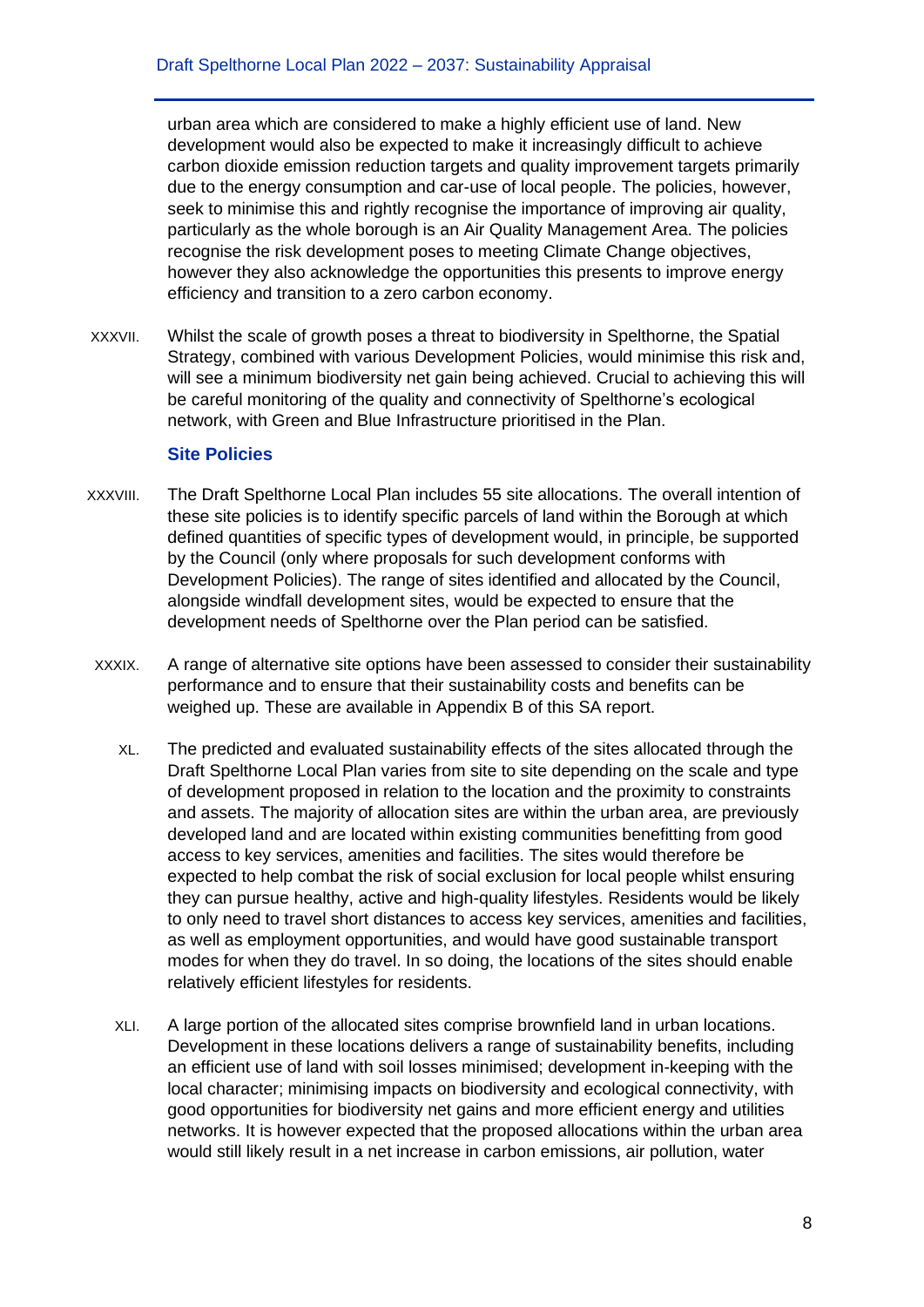urban area which are considered to make a highly efficient use of land. New development would also be expected to make it increasingly difficult to achieve carbon dioxide emission reduction targets and quality improvement targets primarily due to the energy consumption and car-use of local people. The policies, however, seek to minimise this and rightly recognise the importance of improving air quality, particularly as the whole borough is an Air Quality Management Area. The policies recognise the risk development poses to meeting Climate Change objectives, however they also acknowledge the opportunities this presents to improve energy efficiency and transition to a zero carbon economy.

XXXVII. Whilst the scale of growth poses a threat to biodiversity in Spelthorne, the Spatial Strategy, combined with various Development Policies, would minimise this risk and, will see a minimum biodiversity net gain being achieved. Crucial to achieving this will be careful monitoring of the quality and connectivity of Spelthorne's ecological network, with Green and Blue Infrastructure prioritised in the Plan.

#### **Site Policies**

- XXXVIII. The Draft Spelthorne Local Plan includes 55 site allocations. The overall intention of these site policies is to identify specific parcels of land within the Borough at which defined quantities of specific types of development would, in principle, be supported by the Council (only where proposals for such development conforms with Development Policies). The range of sites identified and allocated by the Council, alongside windfall development sites, would be expected to ensure that the development needs of Spelthorne over the Plan period can be satisfied.
- XXXIX. A range of alternative site options have been assessed to consider their sustainability performance and to ensure that their sustainability costs and benefits can be weighed up. These are available in Appendix B of this SA report.
	- XL. The predicted and evaluated sustainability effects of the sites allocated through the Draft Spelthorne Local Plan varies from site to site depending on the scale and type of development proposed in relation to the location and the proximity to constraints and assets. The majority of allocation sites are within the urban area, are previously developed land and are located within existing communities benefitting from good access to key services, amenities and facilities. The sites would therefore be expected to help combat the risk of social exclusion for local people whilst ensuring they can pursue healthy, active and high-quality lifestyles. Residents would be likely to only need to travel short distances to access key services, amenities and facilities, as well as employment opportunities, and would have good sustainable transport modes for when they do travel. In so doing, the locations of the sites should enable relatively efficient lifestyles for residents.
	- XLI. A large portion of the allocated sites comprise brownfield land in urban locations. Development in these locations delivers a range of sustainability benefits, including an efficient use of land with soil losses minimised; development in-keeping with the local character; minimising impacts on biodiversity and ecological connectivity, with good opportunities for biodiversity net gains and more efficient energy and utilities networks. It is however expected that the proposed allocations within the urban area would still likely result in a net increase in carbon emissions, air pollution, water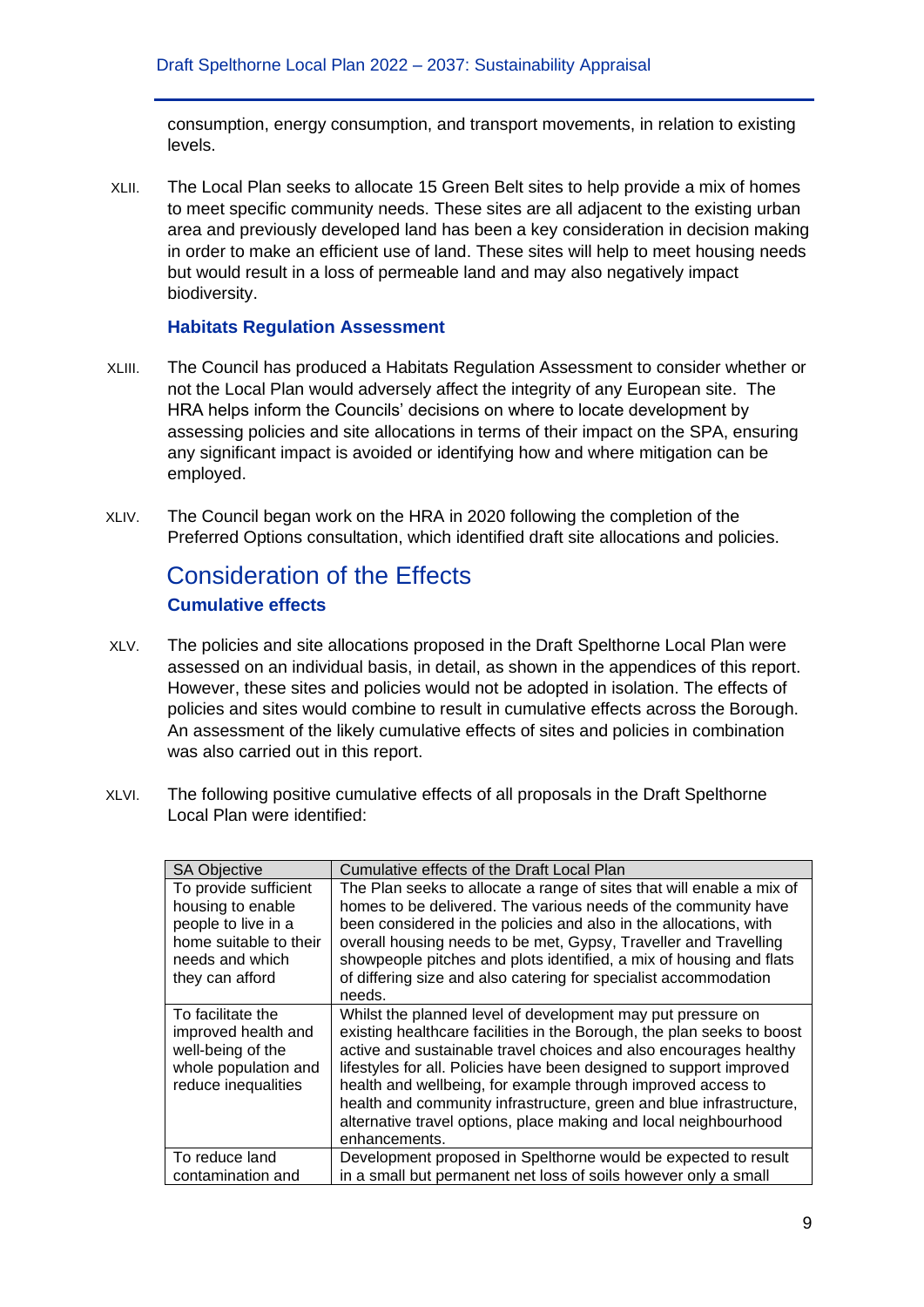consumption, energy consumption, and transport movements, in relation to existing levels.

XLII. The Local Plan seeks to allocate 15 Green Belt sites to help provide a mix of homes to meet specific community needs. These sites are all adjacent to the existing urban area and previously developed land has been a key consideration in decision making in order to make an efficient use of land. These sites will help to meet housing needs but would result in a loss of permeable land and may also negatively impact biodiversity.

#### **Habitats Regulation Assessment**

- XLIII. The Council has produced a Habitats Regulation Assessment to consider whether or not the Local Plan would adversely affect the integrity of any European site. The HRA helps inform the Councils' decisions on where to locate development by assessing policies and site allocations in terms of their impact on the SPA, ensuring any significant impact is avoided or identifying how and where mitigation can be employed.
- XLIV. The Council began work on the HRA in 2020 following the completion of the Preferred Options consultation, which identified draft site allocations and policies.

### Consideration of the Effects **Cumulative effects**

- XLV. The policies and site allocations proposed in the Draft Spelthorne Local Plan were assessed on an individual basis, in detail, as shown in the appendices of this report. However, these sites and policies would not be adopted in isolation. The effects of policies and sites would combine to result in cumulative effects across the Borough. An assessment of the likely cumulative effects of sites and policies in combination was also carried out in this report.
- XLVI. The following positive cumulative effects of all proposals in the Draft Spelthorne Local Plan were identified:

| <b>SA Objective</b>                                                                                                               | Cumulative effects of the Draft Local Plan                                                                                                                                                                                                                                                                                                                                                                                                                                                                    |
|-----------------------------------------------------------------------------------------------------------------------------------|---------------------------------------------------------------------------------------------------------------------------------------------------------------------------------------------------------------------------------------------------------------------------------------------------------------------------------------------------------------------------------------------------------------------------------------------------------------------------------------------------------------|
| To provide sufficient<br>housing to enable<br>people to live in a<br>home suitable to their<br>needs and which<br>they can afford | The Plan seeks to allocate a range of sites that will enable a mix of<br>homes to be delivered. The various needs of the community have<br>been considered in the policies and also in the allocations, with<br>overall housing needs to be met, Gypsy, Traveller and Travelling<br>showpeople pitches and plots identified, a mix of housing and flats<br>of differing size and also catering for specialist accommodation<br>needs.                                                                         |
| To facilitate the<br>improved health and<br>well-being of the<br>whole population and<br>reduce inequalities                      | Whilst the planned level of development may put pressure on<br>existing healthcare facilities in the Borough, the plan seeks to boost<br>active and sustainable travel choices and also encourages healthy<br>lifestyles for all. Policies have been designed to support improved<br>health and wellbeing, for example through improved access to<br>health and community infrastructure, green and blue infrastructure,<br>alternative travel options, place making and local neighbourhood<br>enhancements. |
| To reduce land                                                                                                                    | Development proposed in Spelthorne would be expected to result                                                                                                                                                                                                                                                                                                                                                                                                                                                |
| contamination and                                                                                                                 | in a small but permanent net loss of soils however only a small                                                                                                                                                                                                                                                                                                                                                                                                                                               |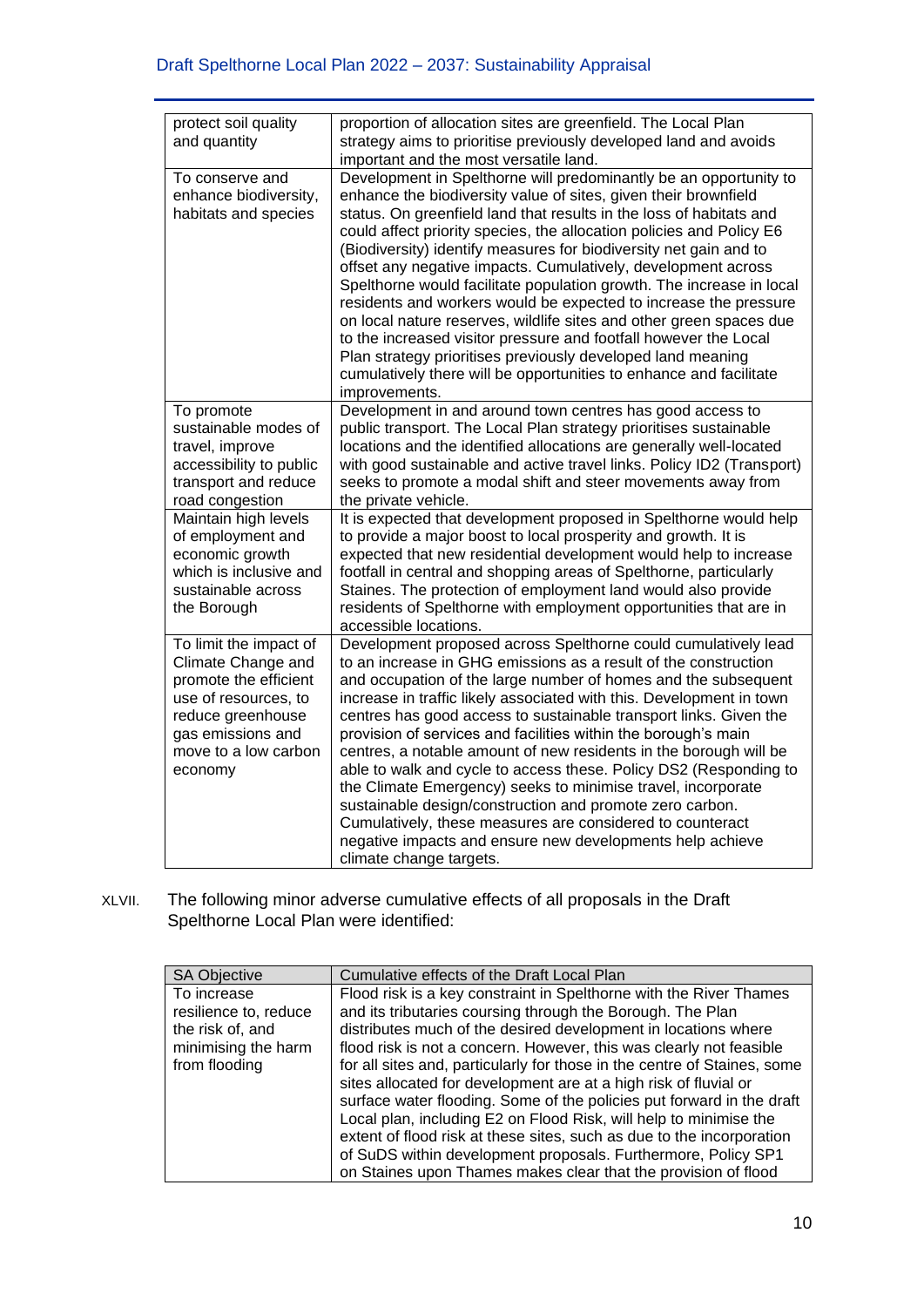| protect soil quality                                                                                                                                                       | proportion of allocation sites are greenfield. The Local Plan                                                                                                                                                                                                                                                                                                                                                                                                                                                                                                                                                                                                                                                                                                                                                                                                          |
|----------------------------------------------------------------------------------------------------------------------------------------------------------------------------|------------------------------------------------------------------------------------------------------------------------------------------------------------------------------------------------------------------------------------------------------------------------------------------------------------------------------------------------------------------------------------------------------------------------------------------------------------------------------------------------------------------------------------------------------------------------------------------------------------------------------------------------------------------------------------------------------------------------------------------------------------------------------------------------------------------------------------------------------------------------|
| and quantity                                                                                                                                                               | strategy aims to prioritise previously developed land and avoids                                                                                                                                                                                                                                                                                                                                                                                                                                                                                                                                                                                                                                                                                                                                                                                                       |
|                                                                                                                                                                            | important and the most versatile land.                                                                                                                                                                                                                                                                                                                                                                                                                                                                                                                                                                                                                                                                                                                                                                                                                                 |
| To conserve and<br>enhance biodiversity,<br>habitats and species                                                                                                           | Development in Spelthorne will predominantly be an opportunity to<br>enhance the biodiversity value of sites, given their brownfield<br>status. On greenfield land that results in the loss of habitats and<br>could affect priority species, the allocation policies and Policy E6<br>(Biodiversity) identify measures for biodiversity net gain and to<br>offset any negative impacts. Cumulatively, development across<br>Spelthorne would facilitate population growth. The increase in local<br>residents and workers would be expected to increase the pressure<br>on local nature reserves, wildlife sites and other green spaces due<br>to the increased visitor pressure and footfall however the Local<br>Plan strategy prioritises previously developed land meaning<br>cumulatively there will be opportunities to enhance and facilitate<br>improvements. |
| To promote<br>sustainable modes of<br>travel, improve<br>accessibility to public<br>transport and reduce<br>road congestion                                                | Development in and around town centres has good access to<br>public transport. The Local Plan strategy prioritises sustainable<br>locations and the identified allocations are generally well-located<br>with good sustainable and active travel links. Policy ID2 (Transport)<br>seeks to promote a modal shift and steer movements away from<br>the private vehicle.                                                                                                                                                                                                                                                                                                                                                                                                                                                                                                 |
| Maintain high levels<br>of employment and<br>economic growth<br>which is inclusive and<br>sustainable across<br>the Borough                                                | It is expected that development proposed in Spelthorne would help<br>to provide a major boost to local prosperity and growth. It is<br>expected that new residential development would help to increase<br>footfall in central and shopping areas of Spelthorne, particularly<br>Staines. The protection of employment land would also provide<br>residents of Spelthorne with employment opportunities that are in<br>accessible locations.                                                                                                                                                                                                                                                                                                                                                                                                                           |
| To limit the impact of<br>Climate Change and<br>promote the efficient<br>use of resources, to<br>reduce greenhouse<br>gas emissions and<br>move to a low carbon<br>economy | Development proposed across Spelthorne could cumulatively lead<br>to an increase in GHG emissions as a result of the construction<br>and occupation of the large number of homes and the subsequent<br>increase in traffic likely associated with this. Development in town<br>centres has good access to sustainable transport links. Given the<br>provision of services and facilities within the borough's main<br>centres, a notable amount of new residents in the borough will be<br>able to walk and cycle to access these. Policy DS2 (Responding to<br>the Climate Emergency) seeks to minimise travel, incorporate<br>sustainable design/construction and promote zero carbon.<br>Cumulatively, these measures are considered to counteract<br>negative impacts and ensure new developments help achieve<br>climate change targets.                          |

XLVII. The following minor adverse cumulative effects of all proposals in the Draft Spelthorne Local Plan were identified:

| <b>SA Objective</b>   | Cumulative effects of the Draft Local Plan                               |
|-----------------------|--------------------------------------------------------------------------|
| To increase           | Flood risk is a key constraint in Spelthorne with the River Thames       |
| resilience to, reduce | and its tributaries coursing through the Borough. The Plan               |
| the risk of, and      | distributes much of the desired development in locations where           |
| minimising the harm   | flood risk is not a concern. However, this was clearly not feasible      |
| from flooding         | for all sites and, particularly for those in the centre of Staines, some |
|                       | sites allocated for development are at a high risk of fluvial or         |
|                       | surface water flooding. Some of the policies put forward in the draft    |
|                       | Local plan, including E2 on Flood Risk, will help to minimise the        |
|                       | extent of flood risk at these sites, such as due to the incorporation    |
|                       | of SuDS within development proposals. Furthermore, Policy SP1            |
|                       | on Staines upon Thames makes clear that the provision of flood           |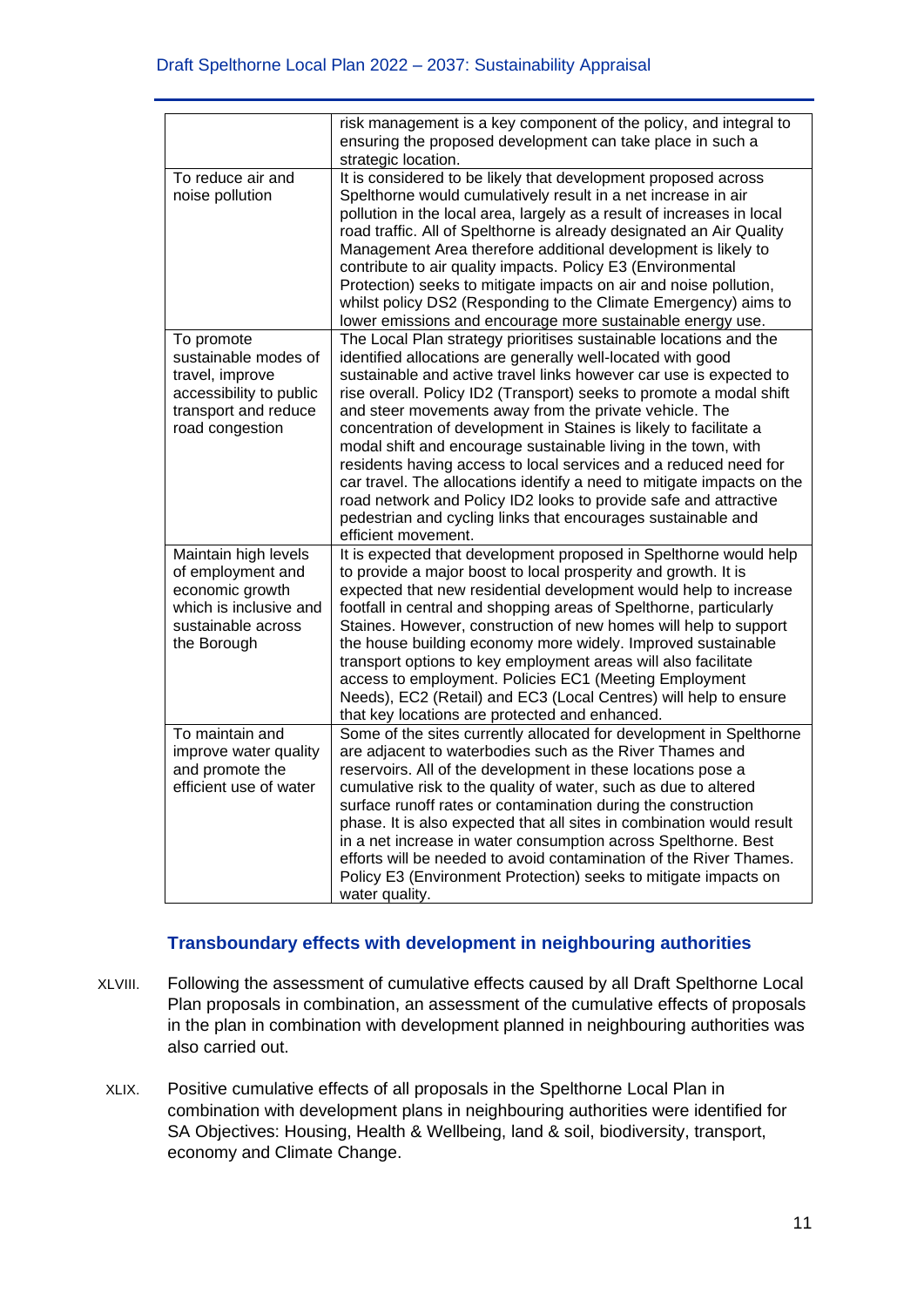|                                                                                                                             | risk management is a key component of the policy, and integral to<br>ensuring the proposed development can take place in such a<br>strategic location.                                                                                                                                                                                                                                                                                                                                                                                                                                                                                                                                                                                                                                  |
|-----------------------------------------------------------------------------------------------------------------------------|-----------------------------------------------------------------------------------------------------------------------------------------------------------------------------------------------------------------------------------------------------------------------------------------------------------------------------------------------------------------------------------------------------------------------------------------------------------------------------------------------------------------------------------------------------------------------------------------------------------------------------------------------------------------------------------------------------------------------------------------------------------------------------------------|
| To reduce air and<br>noise pollution                                                                                        | It is considered to be likely that development proposed across<br>Spelthorne would cumulatively result in a net increase in air<br>pollution in the local area, largely as a result of increases in local<br>road traffic. All of Spelthorne is already designated an Air Quality<br>Management Area therefore additional development is likely to<br>contribute to air quality impacts. Policy E3 (Environmental<br>Protection) seeks to mitigate impacts on air and noise pollution,<br>whilst policy DS2 (Responding to the Climate Emergency) aims to<br>lower emissions and encourage more sustainable energy use.                                                                                                                                                                 |
| To promote<br>sustainable modes of<br>travel, improve<br>accessibility to public<br>transport and reduce<br>road congestion | The Local Plan strategy prioritises sustainable locations and the<br>identified allocations are generally well-located with good<br>sustainable and active travel links however car use is expected to<br>rise overall. Policy ID2 (Transport) seeks to promote a modal shift<br>and steer movements away from the private vehicle. The<br>concentration of development in Staines is likely to facilitate a<br>modal shift and encourage sustainable living in the town, with<br>residents having access to local services and a reduced need for<br>car travel. The allocations identify a need to mitigate impacts on the<br>road network and Policy ID2 looks to provide safe and attractive<br>pedestrian and cycling links that encourages sustainable and<br>efficient movement. |
| Maintain high levels<br>of employment and<br>economic growth<br>which is inclusive and<br>sustainable across<br>the Borough | It is expected that development proposed in Spelthorne would help<br>to provide a major boost to local prosperity and growth. It is<br>expected that new residential development would help to increase<br>footfall in central and shopping areas of Spelthorne, particularly<br>Staines. However, construction of new homes will help to support<br>the house building economy more widely. Improved sustainable<br>transport options to key employment areas will also facilitate<br>access to employment. Policies EC1 (Meeting Employment<br>Needs), EC2 (Retail) and EC3 (Local Centres) will help to ensure<br>that key locations are protected and enhanced.                                                                                                                     |
| To maintain and<br>improve water quality<br>and promote the<br>efficient use of water                                       | Some of the sites currently allocated for development in Spelthorne<br>are adjacent to waterbodies such as the River Thames and<br>reservoirs. All of the development in these locations pose a<br>cumulative risk to the quality of water, such as due to altered<br>surface runoff rates or contamination during the construction<br>phase. It is also expected that all sites in combination would result<br>in a net increase in water consumption across Spelthorne. Best<br>efforts will be needed to avoid contamination of the River Thames.<br>Policy E3 (Environment Protection) seeks to mitigate impacts on<br>water quality.                                                                                                                                               |

### **Transboundary effects with development in neighbouring authorities**

- XLVIII. Following the assessment of cumulative effects caused by all Draft Spelthorne Local Plan proposals in combination, an assessment of the cumulative effects of proposals in the plan in combination with development planned in neighbouring authorities was also carried out.
- XLIX. Positive cumulative effects of all proposals in the Spelthorne Local Plan in combination with development plans in neighbouring authorities were identified for SA Objectives: Housing, Health & Wellbeing, land & soil, biodiversity, transport, economy and Climate Change.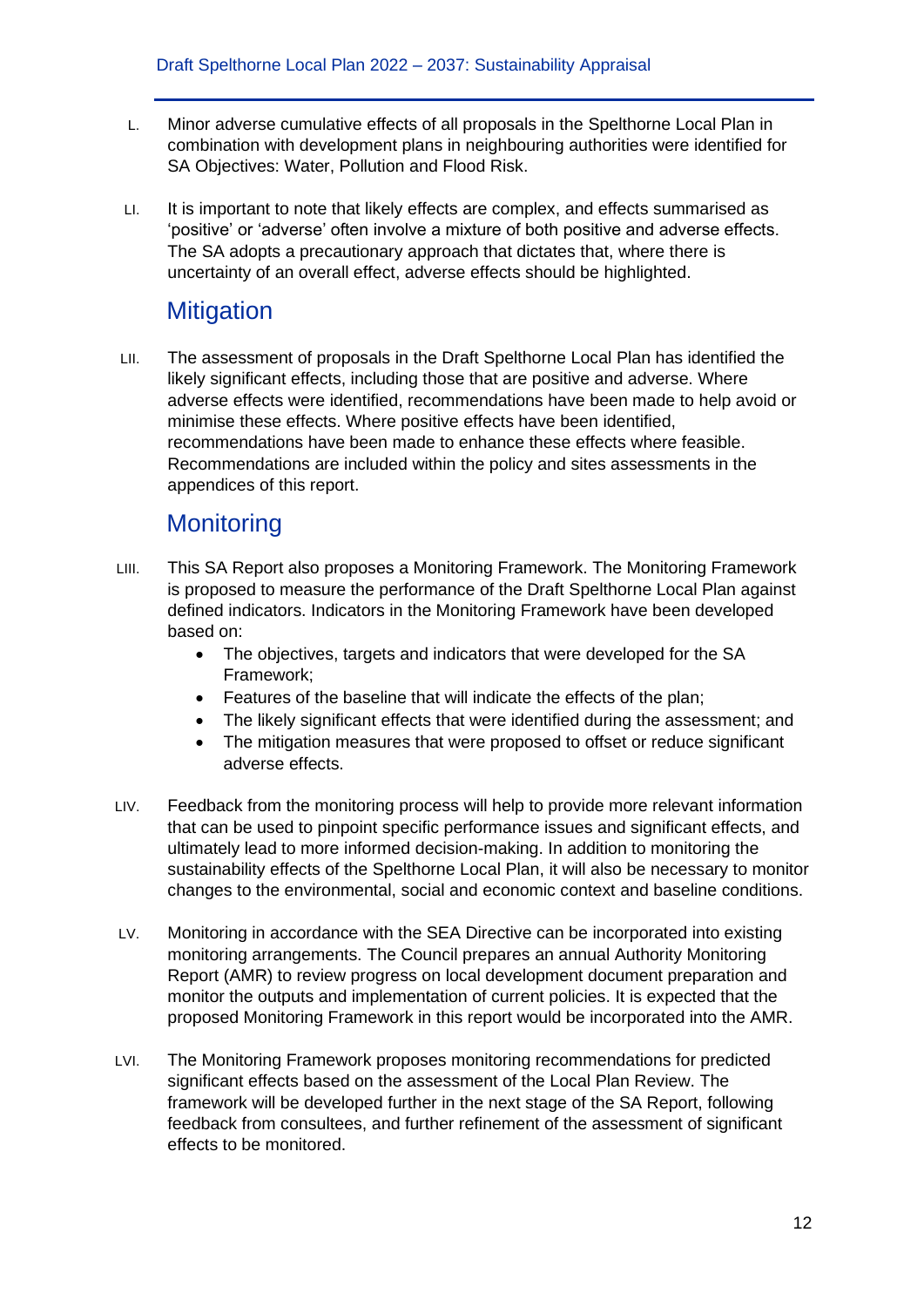- L. Minor adverse cumulative effects of all proposals in the Spelthorne Local Plan in combination with development plans in neighbouring authorities were identified for SA Objectives: Water, Pollution and Flood Risk.
- LI. It is important to note that likely effects are complex, and effects summarised as 'positive' or 'adverse' often involve a mixture of both positive and adverse effects. The SA adopts a precautionary approach that dictates that, where there is uncertainty of an overall effect, adverse effects should be highlighted.

### **Mitigation**

LII. The assessment of proposals in the Draft Spelthorne Local Plan has identified the likely significant effects, including those that are positive and adverse. Where adverse effects were identified, recommendations have been made to help avoid or minimise these effects. Where positive effects have been identified, recommendations have been made to enhance these effects where feasible. Recommendations are included within the policy and sites assessments in the appendices of this report.

## **Monitoring**

- LIII. This SA Report also proposes a Monitoring Framework. The Monitoring Framework is proposed to measure the performance of the Draft Spelthorne Local Plan against defined indicators. Indicators in the Monitoring Framework have been developed based on:
	- The objectives, targets and indicators that were developed for the SA Framework;
	- Features of the baseline that will indicate the effects of the plan;
	- The likely significant effects that were identified during the assessment; and
	- The mitigation measures that were proposed to offset or reduce significant adverse effects.
- LIV. Feedback from the monitoring process will help to provide more relevant information that can be used to pinpoint specific performance issues and significant effects, and ultimately lead to more informed decision-making. In addition to monitoring the sustainability effects of the Spelthorne Local Plan, it will also be necessary to monitor changes to the environmental, social and economic context and baseline conditions.
- LV. Monitoring in accordance with the SEA Directive can be incorporated into existing monitoring arrangements. The Council prepares an annual Authority Monitoring Report (AMR) to review progress on local development document preparation and monitor the outputs and implementation of current policies. It is expected that the proposed Monitoring Framework in this report would be incorporated into the AMR.
- LVI. The Monitoring Framework proposes monitoring recommendations for predicted significant effects based on the assessment of the Local Plan Review. The framework will be developed further in the next stage of the SA Report, following feedback from consultees, and further refinement of the assessment of significant effects to be monitored.